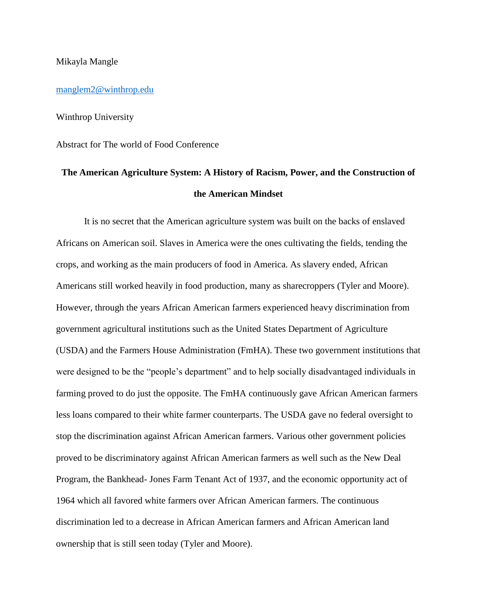## Mikayla Mangle

[manglem2@winthrop.edu](mailto:manglem2@winthrop.edu)

Winthrop University

Abstract for The world of Food Conference

## **The American Agriculture System: A History of Racism, Power, and the Construction of the American Mindset**

It is no secret that the American agriculture system was built on the backs of enslaved Africans on American soil. Slaves in America were the ones cultivating the fields, tending the crops, and working as the main producers of food in America. As slavery ended, African Americans still worked heavily in food production, many as sharecroppers (Tyler and Moore). However, through the years African American farmers experienced heavy discrimination from government agricultural institutions such as the United States Department of Agriculture (USDA) and the Farmers House Administration (FmHA). These two government institutions that were designed to be the "people's department" and to help socially disadvantaged individuals in farming proved to do just the opposite. The FmHA continuously gave African American farmers less loans compared to their white farmer counterparts. The USDA gave no federal oversight to stop the discrimination against African American farmers. Various other government policies proved to be discriminatory against African American farmers as well such as the New Deal Program, the Bankhead- Jones Farm Tenant Act of 1937, and the economic opportunity act of 1964 which all favored white farmers over African American farmers. The continuous discrimination led to a decrease in African American farmers and African American land ownership that is still seen today (Tyler and Moore).